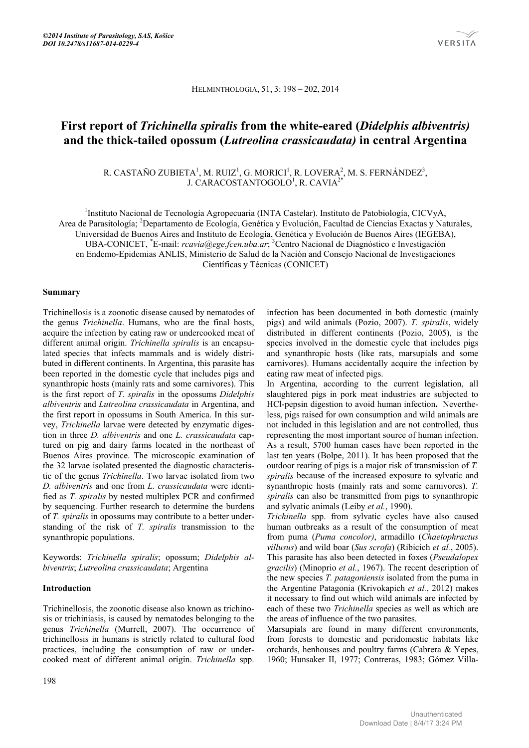HELMINTHOLOGIA, 51, 3: 198 – 202, 2014

# **First report of** *Trichinella spiralis* **from the white-eared (***Didelphis albiventris)* **and the thick-tailed opossum (***Lutreolina crassicaudata)* **in central Argentina**

R. CASTAÑO ZUBIETA<sup>1</sup>, M. RUIZ<sup>1</sup>, G. MORICI<sup>1</sup>, R. LOVERA<sup>2</sup>, M. S. FERNÁNDEZ<sup>3</sup>, J. CARACOSTANTOGOLO<sup>1</sup>, R. CAVIA<sup>2\*</sup>

<sup>1</sup>Instituto Nacional de Tecnología Agropecuaria (INTA Castelar). Instituto de Patobiología, CICVyA, Area de Parasitología; <sup>2</sup>Departamento de Ecología, Genética y Evolución, Facultad de Ciencias Exactas y Naturales, Universidad de Buenos Aires and Instituto de Ecología, Genética y Evolución de Buenos Aires (IEGEBA), UBA-CONICET, <sup>\*</sup>E-mail: *rcavia@ege.fcen.uba.ar*; <sup>3</sup>Centro Nacional de Diagnóstico e Investigación en Endemo-Epidemias ANLIS, Ministerio de Salud de la Nación and Consejo Nacional de Investigaciones Científicas y Técnicas (CONICET)

## **Summary**

Trichinellosis is a zoonotic disease caused by nematodes of the genus *Trichinella*. Humans, who are the final hosts, acquire the infection by eating raw or undercooked meat of different animal origin. *Trichinella spiralis* is an encapsulated species that infects mammals and is widely distributed in different continents. In Argentina, this parasite has been reported in the domestic cycle that includes pigs and synanthropic hosts (mainly rats and some carnivores). This is the first report of *T. spiralis* in the opossums *Didelphis albiventris* and *Lutreolina crassicaudata* in Argentina, and the first report in opossums in South America. In this survey, *Trichinella* larvae were detected by enzymatic digestion in three *D. albiventris* and one *L. crassicaudata* captured on pig and dairy farms located in the northeast of Buenos Aires province. The microscopic examination of the 32 larvae isolated presented the diagnostic characteristic of the genus *Trichinella*. Two larvae isolated from two *D. albiventris* and one from *L. crassicaudata* were identified as *T. spiralis* by nested multiplex PCR and confirmed by sequencing. Further research to determine the burdens of *T. spiralis* in opossums may contribute to a better understanding of the risk of *T. spiralis* transmission to the synanthropic populations.

Keywords: *Trichinella spiralis*; opossum; *Didelphis albiventris*; *Lutreolina crassicaudata*; Argentina

# **Introduction**

Trichinellosis, the zoonotic disease also known as trichinosis or trichiniasis, is caused by nematodes belonging to the genus *Trichinella* (Murrell, 2007). The occurrence of trichinellosis in humans is strictly related to cultural food practices, including the consumption of raw or undercooked meat of different animal origin. *Trichinella* spp.

infection has been documented in both domestic (mainly pigs) and wild animals (Pozio, 2007). *T. spiralis*, widely distributed in different continents (Pozio, 2005), is the species involved in the domestic cycle that includes pigs and synanthropic hosts (like rats, marsupials and some carnivores). Humans accidentally acquire the infection by eating raw meat of infected pigs.

In Argentina, according to the current legislation, all slaughtered pigs in pork meat industries are subjected to HCl-pepsin digestion to avoid human infection**.** Nevertheless, pigs raised for own consumption and wild animals are not included in this legislation and are not controlled, thus representing the most important source of human infection. As a result, 5700 human cases have been reported in the last ten years (Bolpe, 2011). It has been proposed that the outdoor rearing of pigs is a major risk of transmission of *T. spiralis* because of the increased exposure to sylvatic and synanthropic hosts (mainly rats and some carnivores). *T. spiralis* can also be transmitted from pigs to synanthropic and sylvatic animals (Leiby *et al.*, 1990).

*Trichinella* spp. from sylvatic cycles have also caused human outbreaks as a result of the consumption of meat from puma (*Puma concolor)*, armadillo (*Chaetophractus villusus*) and wild boar (*Sus scrofa*) (Ribicich *et al.*, 2005). This parasite has also been detected in foxes (*Pseudalopex gracilis*) (Minoprio *et al.*, 1967). The recent description of the new species *T. patagoniensis* isolated from the puma in the Argentine Patagonia (Krivokapich *et al.*, 2012) makes it necessary to find out which wild animals are infected by each of these two *Trichinella* species as well as which are the areas of influence of the two parasites.

Marsupials are found in many different environments, from forests to domestic and peridomestic habitats like orchards, henhouses and poultry farms (Cabrera & Yepes, 1960; Hunsaker II, 1977; Contreras, 1983; Gómez Villa-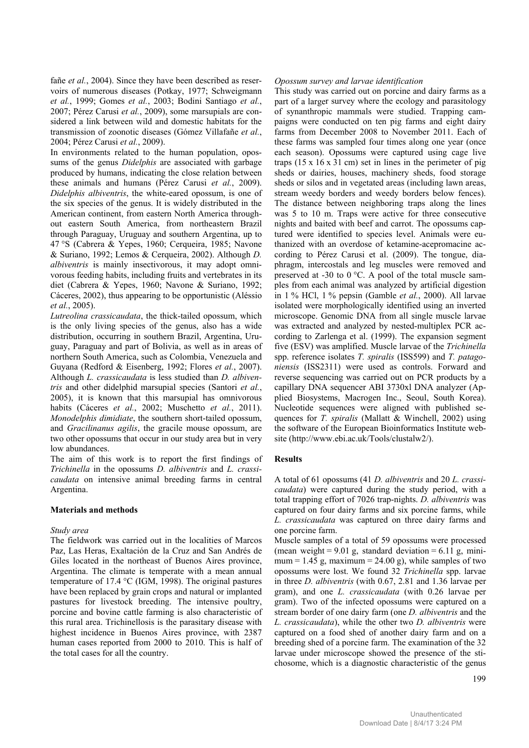fañe *et al.*, 2004). Since they have been described as reservoirs of numerous diseases (Potkay, 1977; Schweigmann *et al.*, 1999; Gomes *et al.*, 2003; Bodini Santiago *et al.*, 2007; Pérez Carusi *et al.*, 2009), some marsupials are considered a link between wild and domestic habitats for the transmission of zoonotic diseases (Gómez Villafañe *et al.*, 2004; Pérez Carusi *et al.*, 2009).

In environments related to the human population, opossums of the genus *Didelphis* are associated with garbage produced by humans, indicating the close relation between these animals and humans (Pérez Carusi *et al.*, 2009). *Didelphis albiventris*, the white-eared opossum, is one of the six species of the genus. It is widely distributed in the American continent, from eastern North America throughout eastern South America, from northeastern Brazil through Paraguay, Uruguay and southern Argentina, up to 47 °S (Cabrera & Yepes, 1960; Cerqueira, 1985; Navone & Suriano, 1992; Lemos & Cerqueira, 2002). Although *D. albiventris* is mainly insectivorous, it may adopt omnivorous feeding habits, including fruits and vertebrates in its diet (Cabrera & Yepes, 1960; Navone & Suriano, 1992; Cáceres, 2002), thus appearing to be opportunistic (Aléssio *et al.*, 2005).

*Lutreolina crassicaudata*, the thick-tailed opossum, which is the only living species of the genus, also has a wide distribution, occurring in southern Brazil, Argentina, Uruguay, Paraguay and part of Bolivia, as well as in areas of northern South America, such as Colombia, Venezuela and Guyana (Redford & Eisenberg, 1992; Flores *et al.*, 2007). Although *L. crassicaudata* is less studied than *D. albiventris* and other didelphid marsupial species (Santori *et al.*, 2005), it is known that this marsupial has omnivorous habits (Cáceres *et al.*, 2002; Muschetto *et al.*, 2011). *Monodelphis dimidiate*, the southern short-tailed opossum, and *Gracilinanus agilis*, the gracile mouse opossum, are two other opossums that occur in our study area but in very low abundances.

The aim of this work is to report the first findings of *Trichinella* in the opossums *D. albiventris* and *L. crassicaudata* on intensive animal breeding farms in central Argentina.

#### **Materials and methods**

#### *Study area*

The fieldwork was carried out in the localities of Marcos Paz, Las Heras, Exaltación de la Cruz and San Andrés de Giles located in the northeast of Buenos Aires province, Argentina. The climate is temperate with a mean annual temperature of 17.4 °C (IGM, 1998). The original pastures have been replaced by grain crops and natural or implanted pastures for livestock breeding. The intensive poultry, porcine and bovine cattle farming is also characteristic of this rural area. Trichinellosis is the parasitary disease with highest incidence in Buenos Aires province, with 2387 human cases reported from 2000 to 2010. This is half of the total cases for all the country.

## *Opossum survey and larvae identification*

This study was carried out on porcine and dairy farms as a part of a larger survey where the ecology and parasitology of synanthropic mammals were studied. Trapping campaigns were conducted on ten pig farms and eight dairy farms from December 2008 to November 2011. Each of these farms was sampled four times along one year (once each season). Opossums were captured using cage live traps  $(15 \times 16 \times 31 \text{ cm})$  set in lines in the perimeter of pig sheds or dairies, houses, machinery sheds, food storage sheds or silos and in vegetated areas (including lawn areas, stream weedy borders and weedy borders below fences). The distance between neighboring traps along the lines was 5 to 10 m. Traps were active for three consecutive nights and baited with beef and carrot. The opossums captured were identified to species level. Animals were euthanized with an overdose of ketamine-acepromacine according to Pérez Carusi et al. (2009). The tongue, diaphragm, intercostals and leg muscles were removed and preserved at -30 to 0 °C. A pool of the total muscle samples from each animal was analyzed by artificial digestion in 1 % HCl, 1 % pepsin (Gamble *et al.*, 2000). All larvae isolated were morphologically identified using an inverted microscope. Genomic DNA from all single muscle larvae was extracted and analyzed by nested-multiplex PCR according to Zarlenga et al. (1999). The expansion segment five (ESV) was amplified. Muscle larvae of the *Trichinella* spp. reference isolates *T. spiralis* (ISS599) and *T. patagoniensis* (ISS2311) were used as controls. Forward and reverse sequencing was carried out on PCR products by a capillary DNA sequencer ABI 3730xl DNA analyzer (Applied Biosystems, Macrogen Inc., Seoul, South Korea). Nucleotide sequences were aligned with published sequences for *T. spiralis* (Mallatt & Winchell, 2002) using the software of the European Bioinformatics Institute website (http://www.ebi.ac.uk/Tools/clustalw2/).

# **Results**

A total of 61 opossums (41 *D. albiventris* and 20 *L. crassicaudata*) were captured during the study period, with a total trapping effort of 7026 trap-nights. *D. albiventris* was captured on four dairy farms and six porcine farms, while *L. crassicaudata* was captured on three dairy farms and one porcine farm.

Muscle samples of a total of 59 opossums were processed (mean weight =  $9.01$  g, standard deviation =  $6.11$  g, minimum = 1.45 g, maximum = 24.00 g), while samples of two opossums were lost. We found 32 *Trichinella* spp. larvae in three *D. albiventris* (with 0.67, 2.81 and 1.36 larvae per gram), and one *L. crassicaudata* (with 0.26 larvae per gram). Two of the infected opossums were captured on a stream border of one dairy farm (one *D. albiventris* and the *L. crassicaudata*), while the other two *D. albiventris* were captured on a food shed of another dairy farm and on a breeding shed of a porcine farm. The examination of the 32 larvae under microscope showed the presence of the stichosome, which is a diagnostic characteristic of the genus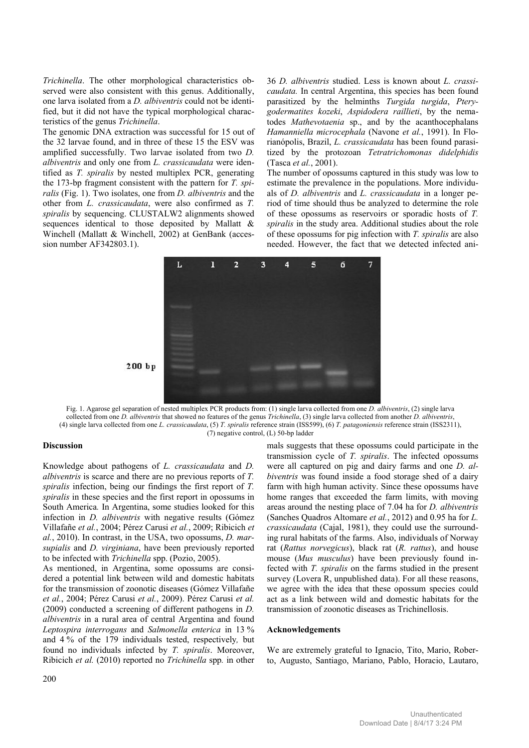*Trichinella*. The other morphological characteristics observed were also consistent with this genus. Additionally, one larva isolated from a *D. albiventris* could not be identified, but it did not have the typical morphological characteristics of the genus *Trichinella*.

The genomic DNA extraction was successful for 15 out of the 32 larvae found, and in three of these 15 the ESV was amplified successfully. Two larvae isolated from two *D. albiventris* and only one from *L. crassicaudata* were identified as *T. spiralis* by nested multiplex PCR, generating the 173-bp fragment consistent with the pattern for *T. spiralis* (Fig. 1). Two isolates, one from *D. albiventris* and the other from *L. crassicaudata*, were also confirmed as *T. spiralis* by sequencing. CLUSTALW2 alignments showed sequences identical to those deposited by Mallatt & Winchell (Mallatt & Winchell, 2002) at GenBank (accession number AF342803.1).

36 *D. albiventris* studied. Less is known about *L. crassicaudata.* In central Argentina, this species has been found parasitized by the helminths *Turgida turgida*, *Pterygodermatites kozeki*, *Aspidodera raillieti*, by the nematodes *Mathevotaenia* sp., and by the acanthocephalans *Hamanniella microcephala* (Navone *et al.*, 1991). In Florianópolis, Brazil, *L. crassicaudata* has been found parasitized by the protozoan *Tetratrichomonas didelphidis* (Tasca *et al.*, 2001).

The number of opossums captured in this study was low to estimate the prevalence in the populations. More individuals of *D. albiventris* and *L. crassicaudata* in a longer period of time should thus be analyzed to determine the role of these opossums as reservoirs or sporadic hosts of *T. spiralis* in the study area. Additional studies about the role of these opossums for pig infection with *T. spiralis* are also needed. However, the fact that we detected infected ani-



Fig. 1. Agarose gel separation of nested multiplex PCR products from: (1) single larva collected from one *D. albiventris*, (2) single larva collected from one *D. albiventris* that showed no features of the genus *Trichinella*, (3) single larva collected from another *D. albiventris*, (4) single larva collected from one *L. crassicaudata*, (5) *T. spiralis* reference strain (ISS599), (6) *T. patagoniensis* reference strain (ISS2311), (7) negative control, (L) 50-bp ladder

#### **Discussion**

Knowledge about pathogens of *L. crassicaudata* and *D. albiventris* is scarce and there are no previous reports of *T. spiralis* infection, being our findings the first report of *T. spiralis* in these species and the first report in opossums in South America*.* In Argentina, some studies looked for this infection in *D. albiventris* with negative results (Gómez Villafañe *et al.*, 2004; Pérez Carusi *et al.*, 2009; Ribicich *et al.*, 2010). In contrast, in the USA, two opossums, *D. marsupialis* and *D. virginiana*, have been previously reported to be infected with *Trichinella* spp. (Pozio, 2005).

As mentioned, in Argentina, some opossums are considered a potential link between wild and domestic habitats for the transmission of zoonotic diseases (Gómez Villafañe *et al.*, 2004; Pérez Carusi *et al.*, 2009). Pérez Carusi *et al.*  (2009) conducted a screening of different pathogens in *D. albiventris* in a rural area of central Argentina and found *Leptospira interrogans* and *Salmonella enterica* in 13 % and 4 % of the 179 individuals tested, respectively*,* but found no individuals infected by *T. spiralis*. Moreover, Ribicich *et al.* (2010) reported no *Trichinella* spp*.* in other

mals suggests that these opossums could participate in the transmission cycle of *T. spiralis*. The infected opossums were all captured on pig and dairy farms and one *D. albiventris* was found inside a food storage shed of a dairy farm with high human activity. Since these opossums have home ranges that exceeded the farm limits, with moving areas around the nesting place of 7.04 ha for *D. albiventris* (Sanches Quadros Altomare *et al.*, 2012) and 0.95 ha for *L. crassicaudata* (Cajal, 1981), they could use the surrounding rural habitats of the farms. Also, individuals of Norway rat (*Rattus norvegicus*), black rat (*R. rattus*), and house mouse (*Mus musculus*) have been previously found infected with *T. spiralis* on the farms studied in the present survey (Lovera R, unpublished data). For all these reasons, we agree with the idea that these opossum species could act as a link between wild and domestic habitats for the transmission of zoonotic diseases as Trichinellosis.

#### **Acknowledgements**

We are extremely grateful to Ignacio, Tito, Mario, Roberto, Augusto, Santiago, Mariano, Pablo, Horacio, Lautaro,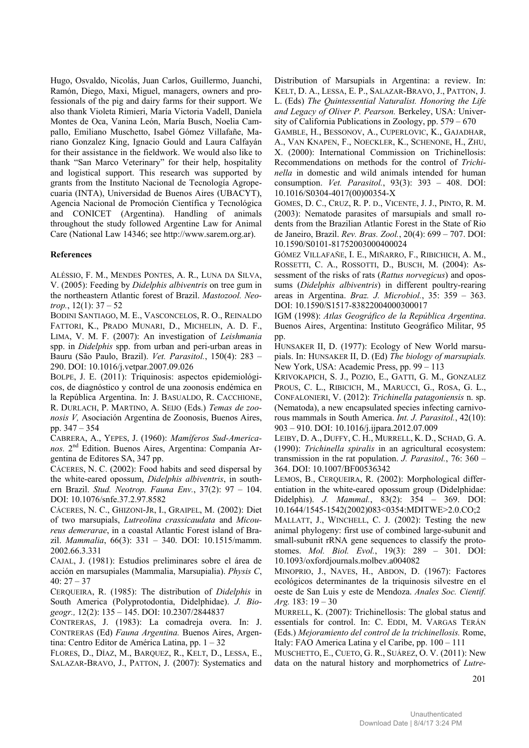Hugo, Osvaldo, Nicolás, Juan Carlos, Guillermo, Juanchi, Ramón, Diego, Maxi, Miguel, managers, owners and professionals of the pig and dairy farms for their support. We also thank Violeta Rimieri, María Victoria Vadell, Daniela Montes de Oca, Vanina León, María Busch, Noelia Campallo, Emiliano Muschetto, Isabel Gómez Villafañe, Mariano Gonzalez King, Ignacio Gould and Laura Calfayán for their assistance in the fieldwork. We would also like to thank "San Marco Veterinary" for their help, hospitality and logistical support. This research was supported by grants from the Instituto Nacional de Tecnología Agropecuaria (INTA), Universidad de Buenos Aires (UBACYT), Agencia Nacional de Promoción Científica y Tecnológica and CONICET (Argentina). Handling of animals throughout the study followed Argentine Law for Animal Care (National Law 14346; see http://www.sarem.org.ar).

## **References**

ALÉSSIO, F. M., MENDES PONTES, A. R., LUNA DA SILVA, V. (2005): Feeding by *Didelphis albiventris* on tree gum in the northeastern Atlantic forest of Brazil. *Mastozool. Neotrop.*, 12(1): 37 – 52

BODINI SANTIAGO, M. E., VASCONCELOS, R. O., REINALDO FATTORI, K., PRADO MUNARI, D., MICHELIN, A. D. F., LIMA, V. M. F. (2007): An investigation of *Leishmania* spp. in *Didelphis* spp. from urban and peri-urban areas in Bauru (São Paulo, Brazil). *Vet. Parasitol.*, 150(4): 283 – 290. DOI: 10.1016/j.vetpar.2007.09.026

BOLPE, J. E. (2011): Triquinosis: aspectos epidemiológicos, de diagnóstico y control de una zoonosis endémica en la República Argentina. In: J. BASUALDO, R. CACCHIONE, R. DURLACH, P. MARTINO, A. SEIJO (Eds.) *Temas de zoonosis V,* Asociación Argentina de Zoonosis, Buenos Aires, pp. 347 – 354

CABRERA, A., YEPES, J. (1960): *Mamíferos Sud-Americanos.* 2nd Edition. Buenos Aires, Argentina: Companía Argentina de Editores SA, 347 pp.

CÁCERES, N. C. (2002): Food habits and seed dispersal by the white-eared opossum, *Didelphis albiventris*, in southern Brazil. *Stud. Neotrop. Fauna Env.*, 37(2): 97 – 104. DOI: 10.1076/snfe.37.2.97.8582

CÁCERES, N. C., GHIZONI-JR, I., GRAIPEL, M. (2002): Diet of two marsupials, *Lutreolina crassicaudata* and *Micoureus demerarae*, in a coastal Atlantic Forest island of Brazil. *Mammalia*, 66(3): 331 – 340. DOI: 10.1515/mamm. 2002.66.3.331

CAJAL, J. (1981): Estudios preliminares sobre el área de acción en marsupiales (Mammalia, Marsupialia). *Physis C*,  $40: 27 - 37$ 

CERQUEIRA, R. (1985): The distribution of *Didelphis* in South America (Polyprotodontia, Didelphidae). *J. Biogeogr.,* 12(2): 135 – 145. DOI: 10.2307/2844837

CONTRERAS, J. (1983): La comadreja overa. In: J. CONTRERAS (Ed) *Fauna Argentina.* Buenos Aires, Argentina: Centro Editor de América Latina, pp. 1 – 32

FLORES, D., DÍAZ, M., BARQUEZ, R., KELT, D., LESSA, E., SALAZAR-BRAVO, J., PATTON, J. (2007): Systematics and Distribution of Marsupials in Argentina: a review. In: KELT, D. A., LESSA, E. P., SALAZAR-BRAVO, J., PATTON, J. L. (Eds) *The Quintessential Naturalist. Honoring the Life and Legacy of Oliver P. Pearson.* Berkeley, USA: University of California Publications in Zoology, pp. 579 – 670

GAMBLE, H., BESSONOV, A., CUPERLOVIC, K., GAJADHAR, A., VAN KNAPEN, F., NOECKLER, K., SCHENONE, H., ZHU, X. (2000): International Commission on Trichinellosis: Recommendations on methods for the control of *Trichinella* in domestic and wild animals intended for human consumption. *Vet. Parasitol.*, 93(3): 393 – 408. DOI: 10.1016/S0304-4017(00)00354-X

GOMES, D. C., CRUZ, R. P. D., VICENTE, J. J., PINTO, R. M. (2003): Nematode parasites of marsupials and small rodents from the Brazilian Atlantic Forest in the State of Rio de Janeiro, Brazil. *Rev. Bras. Zool.*, 20(4): 699 – 707. DOI: 10.1590/S0101-81752003000400024

GÓMEZ VILLAFAÑE, I. E., MIÑARRO, F., RIBICHICH, A. M., ROSSETTI, C. A., ROSSOTTI, D., BUSCH, M. (2004): Assessment of the risks of rats (*Rattus norvegicus*) and opossums (*Didelphis albiventris*) in different poultry-rearing areas in Argentina. *Braz. J. Microbiol.*, 35: 359 – 363. DOI: 10.1590/S1517-83822004000300017

IGM (1998): *Atlas Geográfico de la República Argentina*. Buenos Aires, Argentina: Instituto Geográfico Militar, 95 pp.

HUNSAKER II, D. (1977): Ecology of New World marsupials. In: HUNSAKER II, D. (Ed) *The biology of marsupials.*  New York, USA: Academic Press, pp. 99 – 113

KRIVOKAPICH, S. J., POZIO, E., GATTI, G. M., GONZALEZ PROUS, C. L., RIBICICH, M., MARUCCI, G., ROSA, G. L., CONFALONIERI, V. (2012): *Trichinella patagoniensis* n. sp. (Nematoda), a new encapsulated species infecting carnivorous mammals in South America. *Int. J. Parasitol.*, 42(10): 903 – 910. DOI: 10.1016/j.ijpara.2012.07.009

LEIBY, D. A., DUFFY, C. H., MURRELL, K. D., SCHAD, G. A. (1990): *Trichinella spiralis* in an agricultural ecosystem: transmission in the rat population. *J. Parasitol.*, 76: 360 – 364. DOI: 10.1007/BF00536342

LEMOS, B., CERQUEIRA, R. (2002): Morphological differentiation in the white-eared opossum group (Didelphidae: Didelphis). *J. Mammal.*, 83(2): 354 – 369. DOI: 10.1644/1545-1542(2002)083<0354:MDITWE>2.0.CO;2

MALLATT, J., WINCHELL, C. J. (2002): Testing the new animal phylogeny: first use of combined large-subunit and small-subunit rRNA gene sequences to classify the protostomes. *Mol. Biol. Evol.*, 19(3): 289 – 301. DOI: 10.1093/oxfordjournals.molbev.a004082

MINOPRIO, J., NAVES, H., ABDON, D. (1967): Factores ecológicos determinantes de la triquinosis silvestre en el oeste de San Luis y este de Mendoza. *Anales Soc. Cientif. Arg.* 183: 19 – 30

MURRELL, K. (2007): Trichinellosis: The global status and essentials for control. In: C. EDDI, M. VARGAS TERÁN (Eds.) *Mejoramiento del control de la trichinellosis.* Rome, Italy: FAO America Latina y el Caribe, pp. 100 – 111

MUSCHETTO, E., CUETO, G. R., SUÁREZ, O. V. (2011): New data on the natural history and morphometrics of *Lutre-*